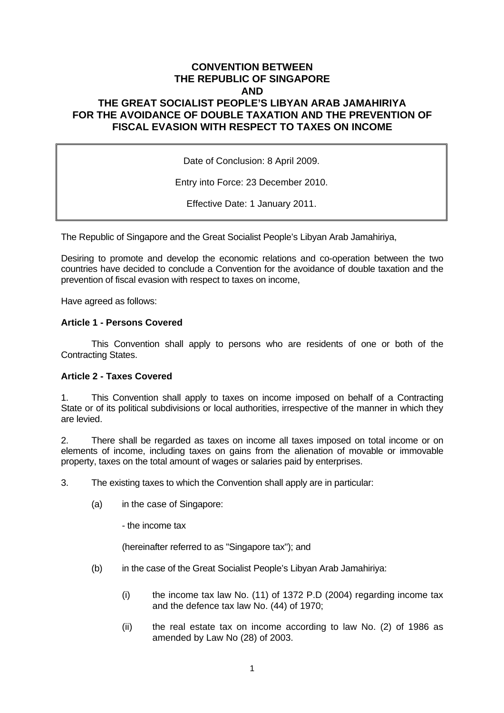# **CONVENTION BETWEEN THE REPUBLIC OF SINGAPORE AND THE GREAT SOCIALIST PEOPLE'S LIBYAN ARAB JAMAHIRIYA FOR THE AVOIDANCE OF DOUBLE TAXATION AND THE PREVENTION OF FISCAL EVASION WITH RESPECT TO TAXES ON INCOME**

Date of Conclusion: 8 April 2009.

Entry into Force: 23 December 2010.

Effective Date: 1 January 2011.

The Republic of Singapore and the Great Socialist People's Libyan Arab Jamahiriya,

Desiring to promote and develop the economic relations and co-operation between the two countries have decided to conclude a Convention for the avoidance of double taxation and the prevention of fiscal evasion with respect to taxes on income,

Have agreed as follows:

### **Article 1 - Persons Covered**

 This Convention shall apply to persons who are residents of one or both of the Contracting States.

## **Article 2 - Taxes Covered**

1. This Convention shall apply to taxes on income imposed on behalf of a Contracting State or of its political subdivisions or local authorities, irrespective of the manner in which they are levied.

2. There shall be regarded as taxes on income all taxes imposed on total income or on elements of income, including taxes on gains from the alienation of movable or immovable property, taxes on the total amount of wages or salaries paid by enterprises.

3. The existing taxes to which the Convention shall apply are in particular:

- (a) in the case of Singapore:
	- the income tax

(hereinafter referred to as "Singapore tax"); and

- (b) in the case of the Great Socialist People's Libyan Arab Jamahiriya:
	- (i) the income tax law No. (11) of 1372 P.D (2004) regarding income tax and the defence tax law No. (44) of 1970;
	- (ii) the real estate tax on income according to law No. (2) of 1986 as amended by Law No (28) of 2003.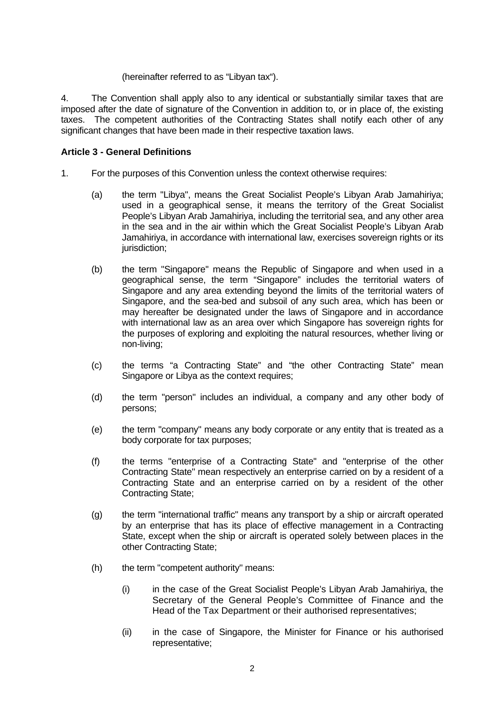### (hereinafter referred to as "Libyan tax").

4. The Convention shall apply also to any identical or substantially similar taxes that are imposed after the date of signature of the Convention in addition to, or in place of, the existing taxes. The competent authorities of the Contracting States shall notify each other of any significant changes that have been made in their respective taxation laws.

### **Article 3 - General Definitions**

- 1. For the purposes of this Convention unless the context otherwise requires:
	- (a) the term "Libya", means the Great Socialist People's Libyan Arab Jamahiriya; used in a geographical sense, it means the territory of the Great Socialist People's Libyan Arab Jamahiriya, including the territorial sea, and any other area in the sea and in the air within which the Great Socialist People's Libyan Arab Jamahiriya, in accordance with international law, exercises sovereign rights or its jurisdiction;
	- (b) the term "Singapore" means the Republic of Singapore and when used in a geographical sense, the term "Singapore" includes the territorial waters of Singapore and any area extending beyond the limits of the territorial waters of Singapore, and the sea-bed and subsoil of any such area, which has been or may hereafter be designated under the laws of Singapore and in accordance with international law as an area over which Singapore has sovereign rights for the purposes of exploring and exploiting the natural resources, whether living or non-living;
	- (c) the terms "a Contracting State" and "the other Contracting State" mean Singapore or Libya as the context requires;
	- (d) the term "person" includes an individual, a company and any other body of persons;
	- (e) the term "company" means any body corporate or any entity that is treated as a body corporate for tax purposes;
	- (f) the terms "enterprise of a Contracting State" and "enterprise of the other Contracting State" mean respectively an enterprise carried on by a resident of a Contracting State and an enterprise carried on by a resident of the other Contracting State;
	- (g) the term "international traffic" means any transport by a ship or aircraft operated by an enterprise that has its place of effective management in a Contracting State, except when the ship or aircraft is operated solely between places in the other Contracting State;
	- (h) the term "competent authority" means:
		- (i) in the case of the Great Socialist People's Libyan Arab Jamahiriya, the Secretary of the General People's Committee of Finance and the Head of the Tax Department or their authorised representatives;
		- (ii) in the case of Singapore, the Minister for Finance or his authorised representative;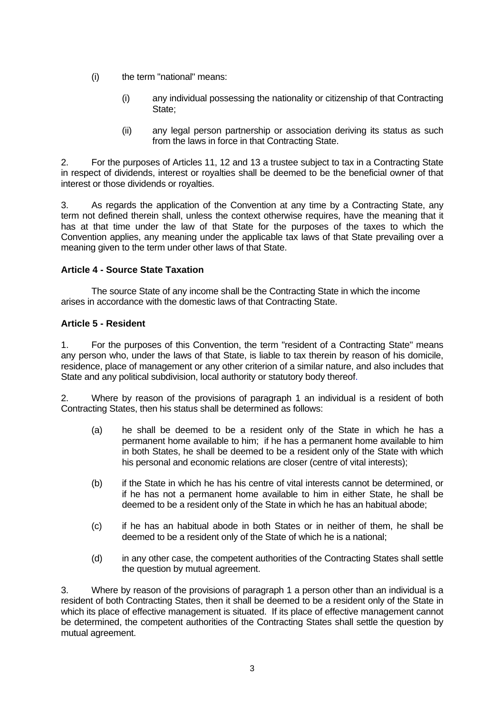- (i) the term "national" means:
	- (i) any individual possessing the nationality or citizenship of that Contracting State;
	- (ii) any legal person partnership or association deriving its status as such from the laws in force in that Contracting State.

2. For the purposes of Articles 11, 12 and 13 a trustee subject to tax in a Contracting State in respect of dividends, interest or royalties shall be deemed to be the beneficial owner of that interest or those dividends or royalties.

3. As regards the application of the Convention at any time by a Contracting State, any term not defined therein shall, unless the context otherwise requires, have the meaning that it has at that time under the law of that State for the purposes of the taxes to which the Convention applies, any meaning under the applicable tax laws of that State prevailing over a meaning given to the term under other laws of that State.

## **Article 4 - Source State Taxation**

The source State of any income shall be the Contracting State in which the income arises in accordance with the domestic laws of that Contracting State.

## **Article 5 - Resident**

1. For the purposes of this Convention, the term "resident of a Contracting State" means any person who, under the laws of that State, is liable to tax therein by reason of his domicile, residence, place of management or any other criterion of a similar nature, and also includes that State and any political subdivision, local authority or statutory body thereof.

2. Where by reason of the provisions of paragraph 1 an individual is a resident of both Contracting States, then his status shall be determined as follows:

- (a) he shall be deemed to be a resident only of the State in which he has a permanent home available to him; if he has a permanent home available to him in both States, he shall be deemed to be a resident only of the State with which his personal and economic relations are closer (centre of vital interests);
- (b) if the State in which he has his centre of vital interests cannot be determined, or if he has not a permanent home available to him in either State, he shall be deemed to be a resident only of the State in which he has an habitual abode;
- (c) if he has an habitual abode in both States or in neither of them, he shall be deemed to be a resident only of the State of which he is a national;
- (d) in any other case, the competent authorities of the Contracting States shall settle the question by mutual agreement.

3. Where by reason of the provisions of paragraph 1 a person other than an individual is a resident of both Contracting States, then it shall be deemed to be a resident only of the State in which its place of effective management is situated. If its place of effective management cannot be determined, the competent authorities of the Contracting States shall settle the question by mutual agreement.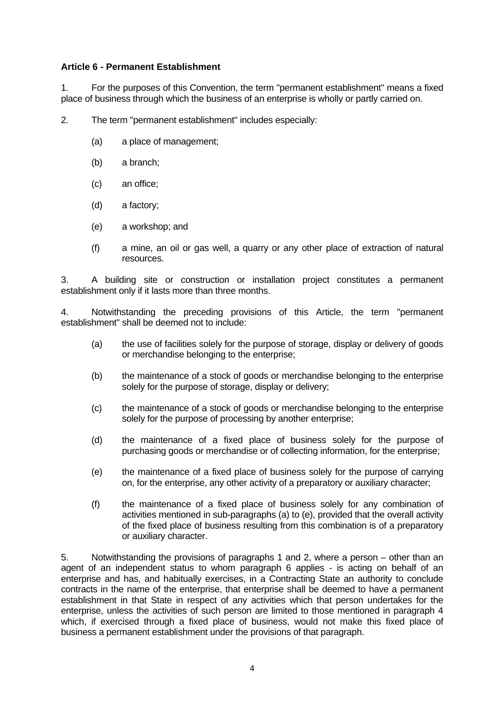### **Article 6 - Permanent Establishment**

1. For the purposes of this Convention, the term "permanent establishment" means a fixed place of business through which the business of an enterprise is wholly or partly carried on.

- 2. The term "permanent establishment" includes especially:
	- (a) a place of management;
	- (b) a branch;
	- (c) an office;
	- (d) a factory;
	- (e) a workshop; and
	- (f) a mine, an oil or gas well, a quarry or any other place of extraction of natural resources.

3. A building site or construction or installation project constitutes a permanent establishment only if it lasts more than three months.

4. Notwithstanding the preceding provisions of this Article, the term "permanent establishment" shall be deemed not to include:

- (a) the use of facilities solely for the purpose of storage, display or delivery of goods or merchandise belonging to the enterprise;
- (b) the maintenance of a stock of goods or merchandise belonging to the enterprise solely for the purpose of storage, display or delivery;
- (c) the maintenance of a stock of goods or merchandise belonging to the enterprise solely for the purpose of processing by another enterprise;
- (d) the maintenance of a fixed place of business solely for the purpose of purchasing goods or merchandise or of collecting information, for the enterprise;
- (e) the maintenance of a fixed place of business solely for the purpose of carrying on, for the enterprise, any other activity of a preparatory or auxiliary character;
- (f) the maintenance of a fixed place of business solely for any combination of activities mentioned in sub-paragraphs (a) to (e), provided that the overall activity of the fixed place of business resulting from this combination is of a preparatory or auxiliary character.

5. Notwithstanding the provisions of paragraphs 1 and 2, where a person – other than an agent of an independent status to whom paragraph 6 applies - is acting on behalf of an enterprise and has, and habitually exercises, in a Contracting State an authority to conclude contracts in the name of the enterprise, that enterprise shall be deemed to have a permanent establishment in that State in respect of any activities which that person undertakes for the enterprise, unless the activities of such person are limited to those mentioned in paragraph 4 which, if exercised through a fixed place of business, would not make this fixed place of business a permanent establishment under the provisions of that paragraph.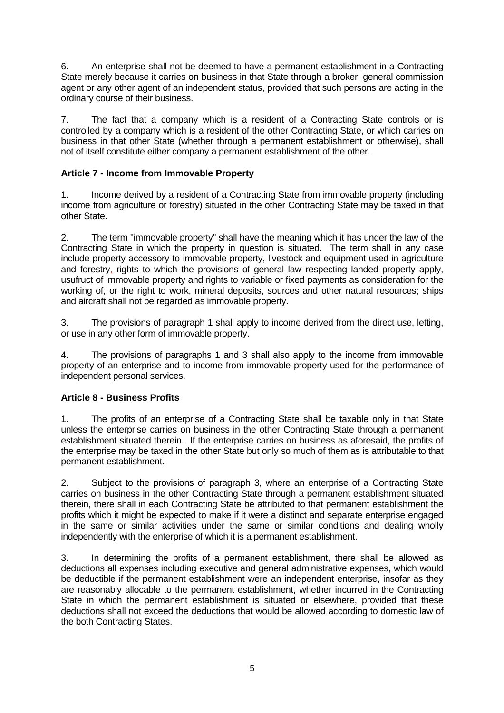6. An enterprise shall not be deemed to have a permanent establishment in a Contracting State merely because it carries on business in that State through a broker, general commission agent or any other agent of an independent status, provided that such persons are acting in the ordinary course of their business.

7. The fact that a company which is a resident of a Contracting State controls or is controlled by a company which is a resident of the other Contracting State, or which carries on business in that other State (whether through a permanent establishment or otherwise), shall not of itself constitute either company a permanent establishment of the other.

# **Article 7 - Income from Immovable Property**

1. Income derived by a resident of a Contracting State from immovable property (including income from agriculture or forestry) situated in the other Contracting State may be taxed in that other State.

2. The term "immovable property" shall have the meaning which it has under the law of the Contracting State in which the property in question is situated. The term shall in any case include property accessory to immovable property, livestock and equipment used in agriculture and forestry, rights to which the provisions of general law respecting landed property apply, usufruct of immovable property and rights to variable or fixed payments as consideration for the working of, or the right to work, mineral deposits, sources and other natural resources; ships and aircraft shall not be regarded as immovable property.

3. The provisions of paragraph 1 shall apply to income derived from the direct use, letting, or use in any other form of immovable property.

4. The provisions of paragraphs 1 and 3 shall also apply to the income from immovable property of an enterprise and to income from immovable property used for the performance of independent personal services.

# **Article 8 - Business Profits**

1. The profits of an enterprise of a Contracting State shall be taxable only in that State unless the enterprise carries on business in the other Contracting State through a permanent establishment situated therein. If the enterprise carries on business as aforesaid, the profits of the enterprise may be taxed in the other State but only so much of them as is attributable to that permanent establishment.

2. Subject to the provisions of paragraph 3, where an enterprise of a Contracting State carries on business in the other Contracting State through a permanent establishment situated therein, there shall in each Contracting State be attributed to that permanent establishment the profits which it might be expected to make if it were a distinct and separate enterprise engaged in the same or similar activities under the same or similar conditions and dealing wholly independently with the enterprise of which it is a permanent establishment.

3. In determining the profits of a permanent establishment, there shall be allowed as deductions all expenses including executive and general administrative expenses, which would be deductible if the permanent establishment were an independent enterprise, insofar as they are reasonably allocable to the permanent establishment, whether incurred in the Contracting State in which the permanent establishment is situated or elsewhere, provided that these deductions shall not exceed the deductions that would be allowed according to domestic law of the both Contracting States.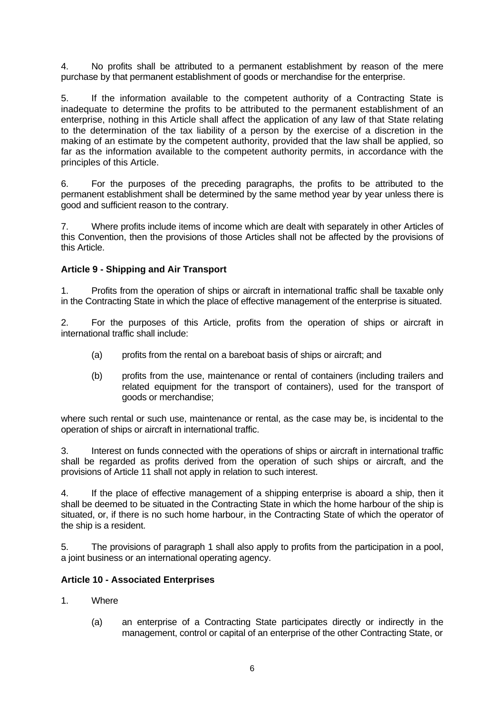4. No profits shall be attributed to a permanent establishment by reason of the mere purchase by that permanent establishment of goods or merchandise for the enterprise.

5. If the information available to the competent authority of a Contracting State is inadequate to determine the profits to be attributed to the permanent establishment of an enterprise, nothing in this Article shall affect the application of any law of that State relating to the determination of the tax liability of a person by the exercise of a discretion in the making of an estimate by the competent authority, provided that the law shall be applied, so far as the information available to the competent authority permits, in accordance with the principles of this Article.

6. For the purposes of the preceding paragraphs, the profits to be attributed to the permanent establishment shall be determined by the same method year by year unless there is good and sufficient reason to the contrary.

7. Where profits include items of income which are dealt with separately in other Articles of this Convention, then the provisions of those Articles shall not be affected by the provisions of this Article.

## **Article 9 - Shipping and Air Transport**

1. Profits from the operation of ships or aircraft in international traffic shall be taxable only in the Contracting State in which the place of effective management of the enterprise is situated.

2. For the purposes of this Article, profits from the operation of ships or aircraft in international traffic shall include:

- (a) profits from the rental on a bareboat basis of ships or aircraft; and
- (b) profits from the use, maintenance or rental of containers (including trailers and related equipment for the transport of containers), used for the transport of goods or merchandise;

where such rental or such use, maintenance or rental, as the case may be, is incidental to the operation of ships or aircraft in international traffic.

3. Interest on funds connected with the operations of ships or aircraft in international traffic shall be regarded as profits derived from the operation of such ships or aircraft, and the provisions of Article 11 shall not apply in relation to such interest.

4. If the place of effective management of a shipping enterprise is aboard a ship, then it shall be deemed to be situated in the Contracting State in which the home harbour of the ship is situated, or, if there is no such home harbour, in the Contracting State of which the operator of the ship is a resident.

5. The provisions of paragraph 1 shall also apply to profits from the participation in a pool, a joint business or an international operating agency.

## **Article 10 - Associated Enterprises**

- 1. Where
	- (a) an enterprise of a Contracting State participates directly or indirectly in the management, control or capital of an enterprise of the other Contracting State, or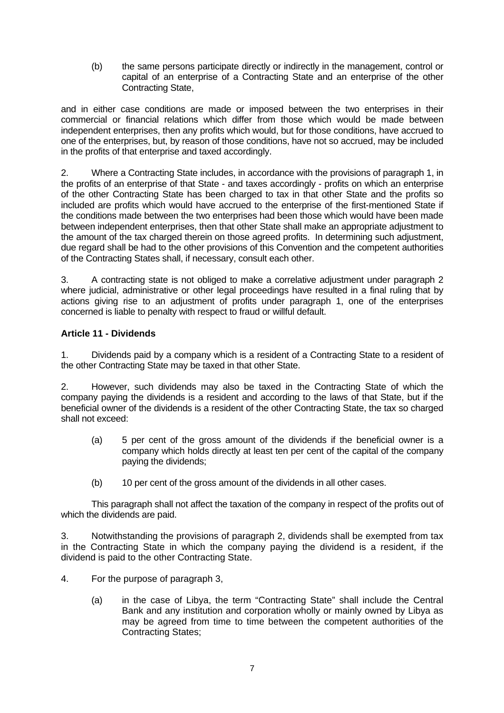(b) the same persons participate directly or indirectly in the management, control or capital of an enterprise of a Contracting State and an enterprise of the other Contracting State,

and in either case conditions are made or imposed between the two enterprises in their commercial or financial relations which differ from those which would be made between independent enterprises, then any profits which would, but for those conditions, have accrued to one of the enterprises, but, by reason of those conditions, have not so accrued, may be included in the profits of that enterprise and taxed accordingly.

2. Where a Contracting State includes, in accordance with the provisions of paragraph 1, in the profits of an enterprise of that State - and taxes accordingly - profits on which an enterprise of the other Contracting State has been charged to tax in that other State and the profits so included are profits which would have accrued to the enterprise of the first-mentioned State if the conditions made between the two enterprises had been those which would have been made between independent enterprises, then that other State shall make an appropriate adjustment to the amount of the tax charged therein on those agreed profits. In determining such adjustment, due regard shall be had to the other provisions of this Convention and the competent authorities of the Contracting States shall, if necessary, consult each other.

3. A contracting state is not obliged to make a correlative adjustment under paragraph 2 where judicial, administrative or other legal proceedings have resulted in a final ruling that by actions giving rise to an adjustment of profits under paragraph 1, one of the enterprises concerned is liable to penalty with respect to fraud or willful default.

## **Article 11 - Dividends**

1. Dividends paid by a company which is a resident of a Contracting State to a resident of the other Contracting State may be taxed in that other State.

2. However, such dividends may also be taxed in the Contracting State of which the company paying the dividends is a resident and according to the laws of that State, but if the beneficial owner of the dividends is a resident of the other Contracting State, the tax so charged shall not exceed:

- (a) 5 per cent of the gross amount of the dividends if the beneficial owner is a company which holds directly at least ten per cent of the capital of the company paying the dividends;
- (b) 10 per cent of the gross amount of the dividends in all other cases.

 This paragraph shall not affect the taxation of the company in respect of the profits out of which the dividends are paid.

3. Notwithstanding the provisions of paragraph 2, dividends shall be exempted from tax in the Contracting State in which the company paying the dividend is a resident, if the dividend is paid to the other Contracting State.

- 4. For the purpose of paragraph 3,
	- (a) in the case of Libya, the term "Contracting State" shall include the Central Bank and any institution and corporation wholly or mainly owned by Libya as may be agreed from time to time between the competent authorities of the Contracting States;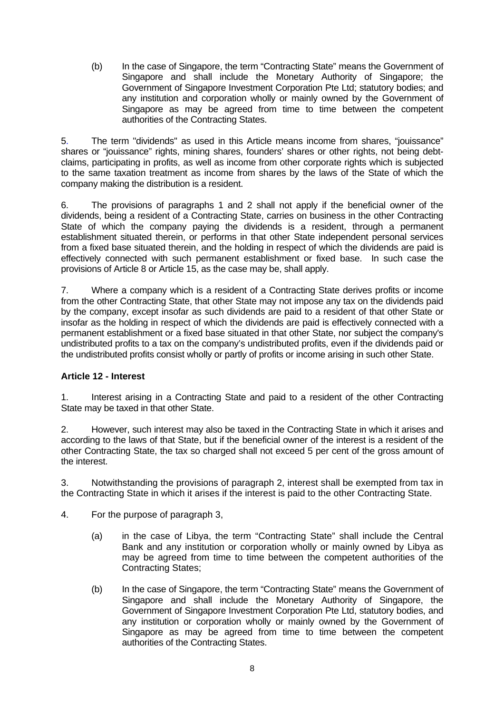(b) In the case of Singapore, the term "Contracting State" means the Government of Singapore and shall include the Monetary Authority of Singapore; the Government of Singapore Investment Corporation Pte Ltd; statutory bodies; and any institution and corporation wholly or mainly owned by the Government of Singapore as may be agreed from time to time between the competent authorities of the Contracting States.

5. The term "dividends" as used in this Article means income from shares, "jouissance" shares or "jouissance" rights, mining shares, founders' shares or other rights, not being debtclaims, participating in profits, as well as income from other corporate rights which is subjected to the same taxation treatment as income from shares by the laws of the State of which the company making the distribution is a resident.

6. The provisions of paragraphs 1 and 2 shall not apply if the beneficial owner of the dividends, being a resident of a Contracting State, carries on business in the other Contracting State of which the company paying the dividends is a resident, through a permanent establishment situated therein, or performs in that other State independent personal services from a fixed base situated therein, and the holding in respect of which the dividends are paid is effectively connected with such permanent establishment or fixed base. In such case the provisions of Article 8 or Article 15, as the case may be, shall apply.

7. Where a company which is a resident of a Contracting State derives profits or income from the other Contracting State, that other State may not impose any tax on the dividends paid by the company, except insofar as such dividends are paid to a resident of that other State or insofar as the holding in respect of which the dividends are paid is effectively connected with a permanent establishment or a fixed base situated in that other State, nor subject the company's undistributed profits to a tax on the company's undistributed profits, even if the dividends paid or the undistributed profits consist wholly or partly of profits or income arising in such other State.

# **Article 12 - Interest**

1. Interest arising in a Contracting State and paid to a resident of the other Contracting State may be taxed in that other State.

2. However, such interest may also be taxed in the Contracting State in which it arises and according to the laws of that State, but if the beneficial owner of the interest is a resident of the other Contracting State, the tax so charged shall not exceed 5 per cent of the gross amount of the interest.

3. Notwithstanding the provisions of paragraph 2, interest shall be exempted from tax in the Contracting State in which it arises if the interest is paid to the other Contracting State.

4. For the purpose of paragraph 3,

- (a) in the case of Libya, the term "Contracting State" shall include the Central Bank and any institution or corporation wholly or mainly owned by Libya as may be agreed from time to time between the competent authorities of the Contracting States;
- (b) In the case of Singapore, the term "Contracting State" means the Government of Singapore and shall include the Monetary Authority of Singapore, the Government of Singapore Investment Corporation Pte Ltd, statutory bodies, and any institution or corporation wholly or mainly owned by the Government of Singapore as may be agreed from time to time between the competent authorities of the Contracting States.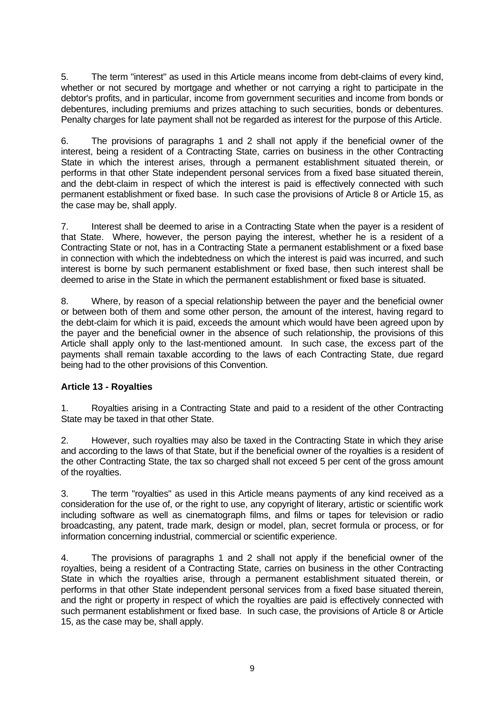5. The term "interest" as used in this Article means income from debt-claims of every kind, whether or not secured by mortgage and whether or not carrying a right to participate in the debtor's profits, and in particular, income from government securities and income from bonds or debentures, including premiums and prizes attaching to such securities, bonds or debentures. Penalty charges for late payment shall not be regarded as interest for the purpose of this Article.

6. The provisions of paragraphs 1 and 2 shall not apply if the beneficial owner of the interest, being a resident of a Contracting State, carries on business in the other Contracting State in which the interest arises, through a permanent establishment situated therein, or performs in that other State independent personal services from a fixed base situated therein, and the debt-claim in respect of which the interest is paid is effectively connected with such permanent establishment or fixed base. In such case the provisions of Article 8 or Article 15, as the case may be, shall apply.

7. Interest shall be deemed to arise in a Contracting State when the payer is a resident of that State. Where, however, the person paying the interest, whether he is a resident of a Contracting State or not, has in a Contracting State a permanent establishment or a fixed base in connection with which the indebtedness on which the interest is paid was incurred, and such interest is borne by such permanent establishment or fixed base, then such interest shall be deemed to arise in the State in which the permanent establishment or fixed base is situated.

8. Where, by reason of a special relationship between the payer and the beneficial owner or between both of them and some other person, the amount of the interest, having regard to the debt-claim for which it is paid, exceeds the amount which would have been agreed upon by the payer and the beneficial owner in the absence of such relationship, the provisions of this Article shall apply only to the last-mentioned amount. In such case, the excess part of the payments shall remain taxable according to the laws of each Contracting State, due regard being had to the other provisions of this Convention.

# **Article 13 - Royalties**

1. Royalties arising in a Contracting State and paid to a resident of the other Contracting State may be taxed in that other State.

2. However, such royalties may also be taxed in the Contracting State in which they arise and according to the laws of that State, but if the beneficial owner of the royalties is a resident of the other Contracting State, the tax so charged shall not exceed 5 per cent of the gross amount of the royalties.

3. The term "royalties" as used in this Article means payments of any kind received as a consideration for the use of, or the right to use, any copyright of literary, artistic or scientific work including software as well as cinematograph films, and films or tapes for television or radio broadcasting, any patent, trade mark, design or model, plan, secret formula or process, or for information concerning industrial, commercial or scientific experience.

4. The provisions of paragraphs 1 and 2 shall not apply if the beneficial owner of the royalties, being a resident of a Contracting State, carries on business in the other Contracting State in which the royalties arise, through a permanent establishment situated therein, or performs in that other State independent personal services from a fixed base situated therein, and the right or property in respect of which the royalties are paid is effectively connected with such permanent establishment or fixed base. In such case, the provisions of Article 8 or Article 15, as the case may be, shall apply.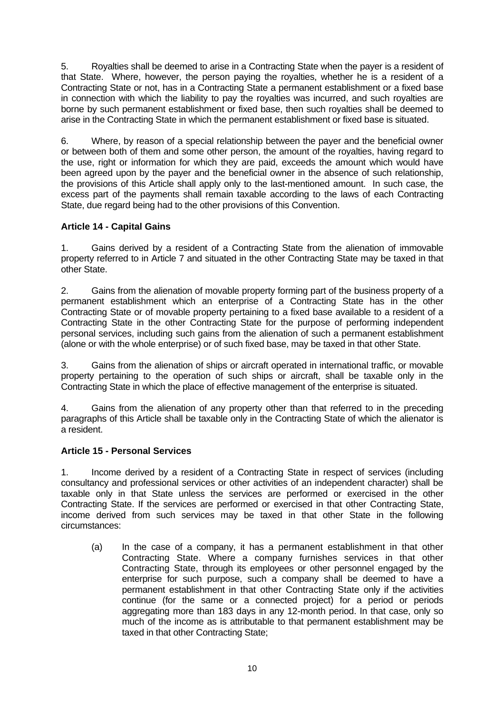5. Royalties shall be deemed to arise in a Contracting State when the payer is a resident of that State. Where, however, the person paying the royalties, whether he is a resident of a Contracting State or not, has in a Contracting State a permanent establishment or a fixed base in connection with which the liability to pay the royalties was incurred, and such royalties are borne by such permanent establishment or fixed base, then such royalties shall be deemed to arise in the Contracting State in which the permanent establishment or fixed base is situated.

6. Where, by reason of a special relationship between the payer and the beneficial owner or between both of them and some other person, the amount of the royalties, having regard to the use, right or information for which they are paid, exceeds the amount which would have been agreed upon by the payer and the beneficial owner in the absence of such relationship, the provisions of this Article shall apply only to the last-mentioned amount. In such case, the excess part of the payments shall remain taxable according to the laws of each Contracting State, due regard being had to the other provisions of this Convention.

# **Article 14 - Capital Gains**

1. Gains derived by a resident of a Contracting State from the alienation of immovable property referred to in Article 7 and situated in the other Contracting State may be taxed in that other State.

2. Gains from the alienation of movable property forming part of the business property of a permanent establishment which an enterprise of a Contracting State has in the other Contracting State or of movable property pertaining to a fixed base available to a resident of a Contracting State in the other Contracting State for the purpose of performing independent personal services, including such gains from the alienation of such a permanent establishment (alone or with the whole enterprise) or of such fixed base, may be taxed in that other State.

3. Gains from the alienation of ships or aircraft operated in international traffic, or movable property pertaining to the operation of such ships or aircraft, shall be taxable only in the Contracting State in which the place of effective management of the enterprise is situated.

4. Gains from the alienation of any property other than that referred to in the preceding paragraphs of this Article shall be taxable only in the Contracting State of which the alienator is a resident.

# **Article 15 - Personal Services**

1. Income derived by a resident of a Contracting State in respect of services (including consultancy and professional services or other activities of an independent character) shall be taxable only in that State unless the services are performed or exercised in the other Contracting State. If the services are performed or exercised in that other Contracting State, income derived from such services may be taxed in that other State in the following circumstances:

(a) In the case of a company, it has a permanent establishment in that other Contracting State. Where a company furnishes services in that other Contracting State, through its employees or other personnel engaged by the enterprise for such purpose, such a company shall be deemed to have a permanent establishment in that other Contracting State only if the activities continue (for the same or a connected project) for a period or periods aggregating more than 183 days in any 12-month period. In that case, only so much of the income as is attributable to that permanent establishment may be taxed in that other Contracting State;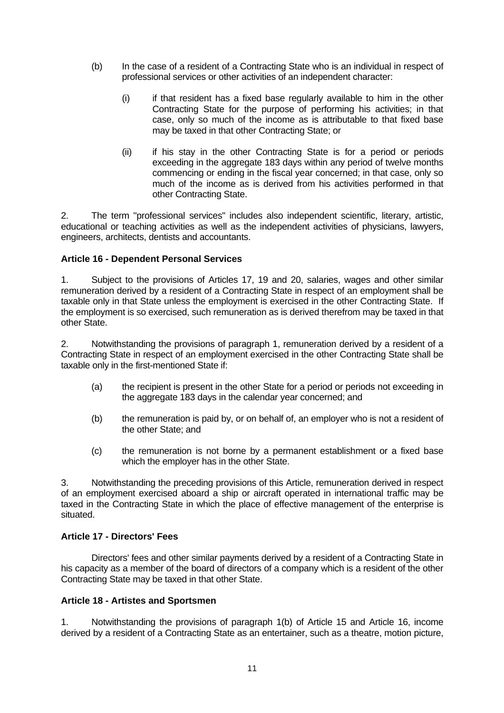- (b) In the case of a resident of a Contracting State who is an individual in respect of professional services or other activities of an independent character:
	- (i) if that resident has a fixed base regularly available to him in the other Contracting State for the purpose of performing his activities; in that case, only so much of the income as is attributable to that fixed base may be taxed in that other Contracting State; or
	- (ii) if his stay in the other Contracting State is for a period or periods exceeding in the aggregate 183 days within any period of twelve months commencing or ending in the fiscal year concerned; in that case, only so much of the income as is derived from his activities performed in that other Contracting State.

2. The term "professional services" includes also independent scientific, literary, artistic, educational or teaching activities as well as the independent activities of physicians, lawyers, engineers, architects, dentists and accountants.

## **Article 16 - Dependent Personal Services**

1. Subject to the provisions of Articles 17, 19 and 20, salaries, wages and other similar remuneration derived by a resident of a Contracting State in respect of an employment shall be taxable only in that State unless the employment is exercised in the other Contracting State. If the employment is so exercised, such remuneration as is derived therefrom may be taxed in that other State.

2. Notwithstanding the provisions of paragraph 1, remuneration derived by a resident of a Contracting State in respect of an employment exercised in the other Contracting State shall be taxable only in the first-mentioned State if:

- (a) the recipient is present in the other State for a period or periods not exceeding in the aggregate 183 days in the calendar year concerned; and
- (b) the remuneration is paid by, or on behalf of, an employer who is not a resident of the other State; and
- (c) the remuneration is not borne by a permanent establishment or a fixed base which the employer has in the other State.

3. Notwithstanding the preceding provisions of this Article, remuneration derived in respect of an employment exercised aboard a ship or aircraft operated in international traffic may be taxed in the Contracting State in which the place of effective management of the enterprise is situated.

## **Article 17 - Directors' Fees**

 Directors' fees and other similar payments derived by a resident of a Contracting State in his capacity as a member of the board of directors of a company which is a resident of the other Contracting State may be taxed in that other State.

## **Article 18 - Artistes and Sportsmen**

1. Notwithstanding the provisions of paragraph 1(b) of Article 15 and Article 16, income derived by a resident of a Contracting State as an entertainer, such as a theatre, motion picture,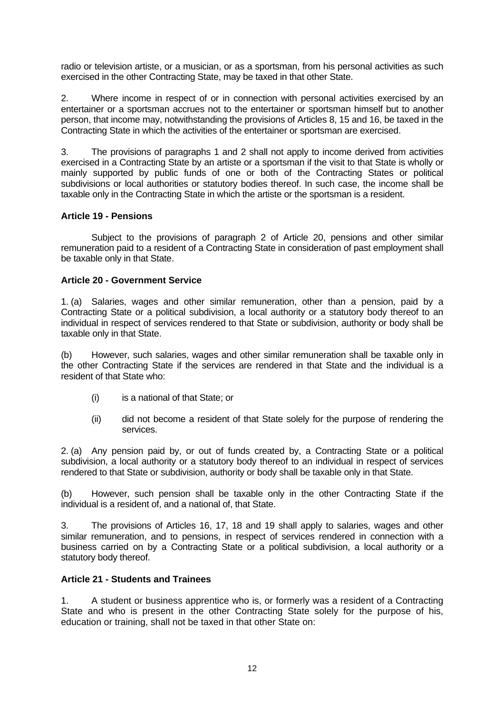radio or television artiste, or a musician, or as a sportsman, from his personal activities as such exercised in the other Contracting State, may be taxed in that other State.

2. Where income in respect of or in connection with personal activities exercised by an entertainer or a sportsman accrues not to the entertainer or sportsman himself but to another person, that income may, notwithstanding the provisions of Articles 8, 15 and 16, be taxed in the Contracting State in which the activities of the entertainer or sportsman are exercised.

3. The provisions of paragraphs 1 and 2 shall not apply to income derived from activities exercised in a Contracting State by an artiste or a sportsman if the visit to that State is wholly or mainly supported by public funds of one or both of the Contracting States or political subdivisions or local authorities or statutory bodies thereof. In such case, the income shall be taxable only in the Contracting State in which the artiste or the sportsman is a resident.

## **Article 19 - Pensions**

 Subject to the provisions of paragraph 2 of Article 20, pensions and other similar remuneration paid to a resident of a Contracting State in consideration of past employment shall be taxable only in that State.

### **Article 20 - Government Service**

1. (a) Salaries, wages and other similar remuneration, other than a pension, paid by a Contracting State or a political subdivision, a local authority or a statutory body thereof to an individual in respect of services rendered to that State or subdivision, authority or body shall be taxable only in that State.

(b) However, such salaries, wages and other similar remuneration shall be taxable only in the other Contracting State if the services are rendered in that State and the individual is a resident of that State who:

- (i) is a national of that State; or
- (ii) did not become a resident of that State solely for the purpose of rendering the services.

2. (a) Any pension paid by, or out of funds created by, a Contracting State or a political subdivision, a local authority or a statutory body thereof to an individual in respect of services rendered to that State or subdivision, authority or body shall be taxable only in that State.

(b) However, such pension shall be taxable only in the other Contracting State if the individual is a resident of, and a national of, that State.

3. The provisions of Articles 16, 17, 18 and 19 shall apply to salaries, wages and other similar remuneration, and to pensions, in respect of services rendered in connection with a business carried on by a Contracting State or a political subdivision, a local authority or a statutory body thereof.

#### **Article 21 - Students and Trainees**

1. A student or business apprentice who is, or formerly was a resident of a Contracting State and who is present in the other Contracting State solely for the purpose of his, education or training, shall not be taxed in that other State on: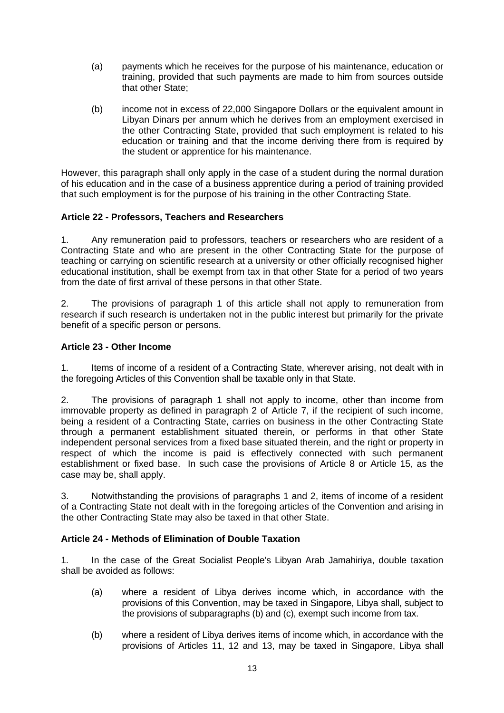- (a) payments which he receives for the purpose of his maintenance, education or training, provided that such payments are made to him from sources outside that other State;
- (b) income not in excess of 22,000 Singapore Dollars or the equivalent amount in Libyan Dinars per annum which he derives from an employment exercised in the other Contracting State, provided that such employment is related to his education or training and that the income deriving there from is required by the student or apprentice for his maintenance.

However, this paragraph shall only apply in the case of a student during the normal duration of his education and in the case of a business apprentice during a period of training provided that such employment is for the purpose of his training in the other Contracting State.

## **Article 22 - Professors, Teachers and Researchers**

1. Any remuneration paid to professors, teachers or researchers who are resident of a Contracting State and who are present in the other Contracting State for the purpose of teaching or carrying on scientific research at a university or other officially recognised higher educational institution, shall be exempt from tax in that other State for a period of two years from the date of first arrival of these persons in that other State.

2. The provisions of paragraph 1 of this article shall not apply to remuneration from research if such research is undertaken not in the public interest but primarily for the private benefit of a specific person or persons.

## **Article 23 - Other Income**

1. Items of income of a resident of a Contracting State, wherever arising, not dealt with in the foregoing Articles of this Convention shall be taxable only in that State.

2. The provisions of paragraph 1 shall not apply to income, other than income from immovable property as defined in paragraph 2 of Article 7, if the recipient of such income, being a resident of a Contracting State, carries on business in the other Contracting State through a permanent establishment situated therein, or performs in that other State independent personal services from a fixed base situated therein, and the right or property in respect of which the income is paid is effectively connected with such permanent establishment or fixed base. In such case the provisions of Article 8 or Article 15, as the case may be, shall apply.

3. Notwithstanding the provisions of paragraphs 1 and 2, items of income of a resident of a Contracting State not dealt with in the foregoing articles of the Convention and arising in the other Contracting State may also be taxed in that other State.

## **Article 24 - Methods of Elimination of Double Taxation**

1. In the case of the Great Socialist People's Libyan Arab Jamahiriya, double taxation shall be avoided as follows:

- (a) where a resident of Libya derives income which, in accordance with the provisions of this Convention, may be taxed in Singapore, Libya shall, subject to the provisions of subparagraphs (b) and (c), exempt such income from tax.
- (b) where a resident of Libya derives items of income which, in accordance with the provisions of Articles 11, 12 and 13, may be taxed in Singapore, Libya shall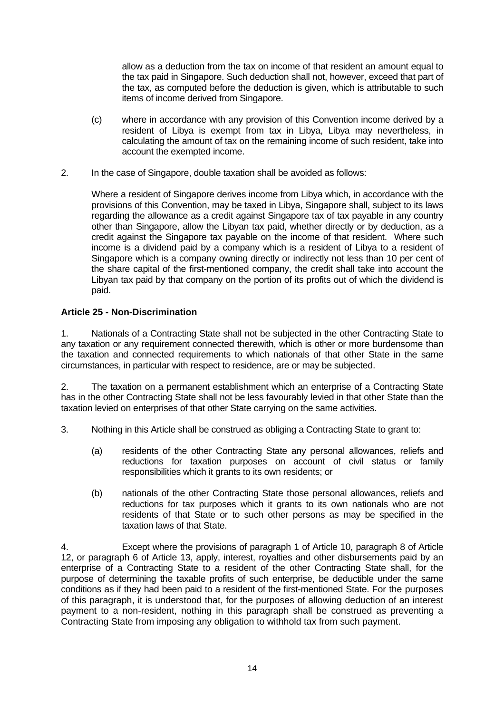allow as a deduction from the tax on income of that resident an amount equal to the tax paid in Singapore. Such deduction shall not, however, exceed that part of the tax, as computed before the deduction is given, which is attributable to such items of income derived from Singapore.

- (c) where in accordance with any provision of this Convention income derived by a resident of Libya is exempt from tax in Libya, Libya may nevertheless, in calculating the amount of tax on the remaining income of such resident, take into account the exempted income.
- 2. In the case of Singapore, double taxation shall be avoided as follows:

 Where a resident of Singapore derives income from Libya which, in accordance with the provisions of this Convention, may be taxed in Libya, Singapore shall, subject to its laws regarding the allowance as a credit against Singapore tax of tax payable in any country other than Singapore, allow the Libyan tax paid, whether directly or by deduction, as a credit against the Singapore tax payable on the income of that resident. Where such income is a dividend paid by a company which is a resident of Libya to a resident of Singapore which is a company owning directly or indirectly not less than 10 per cent of the share capital of the first-mentioned company, the credit shall take into account the Libyan tax paid by that company on the portion of its profits out of which the dividend is paid.

# **Article 25 - Non-Discrimination**

1. Nationals of a Contracting State shall not be subjected in the other Contracting State to any taxation or any requirement connected therewith, which is other or more burdensome than the taxation and connected requirements to which nationals of that other State in the same circumstances, in particular with respect to residence, are or may be subjected.

2. The taxation on a permanent establishment which an enterprise of a Contracting State has in the other Contracting State shall not be less favourably levied in that other State than the taxation levied on enterprises of that other State carrying on the same activities.

3. Nothing in this Article shall be construed as obliging a Contracting State to grant to:

- (a) residents of the other Contracting State any personal allowances, reliefs and reductions for taxation purposes on account of civil status or family responsibilities which it grants to its own residents; or
- (b) nationals of the other Contracting State those personal allowances, reliefs and reductions for tax purposes which it grants to its own nationals who are not residents of that State or to such other persons as may be specified in the taxation laws of that State.

4. Except where the provisions of paragraph 1 of Article 10, paragraph 8 of Article 12, or paragraph 6 of Article 13, apply, interest, royalties and other disbursements paid by an enterprise of a Contracting State to a resident of the other Contracting State shall, for the purpose of determining the taxable profits of such enterprise, be deductible under the same conditions as if they had been paid to a resident of the first-mentioned State. For the purposes of this paragraph, it is understood that, for the purposes of allowing deduction of an interest payment to a non-resident, nothing in this paragraph shall be construed as preventing a Contracting State from imposing any obligation to withhold tax from such payment.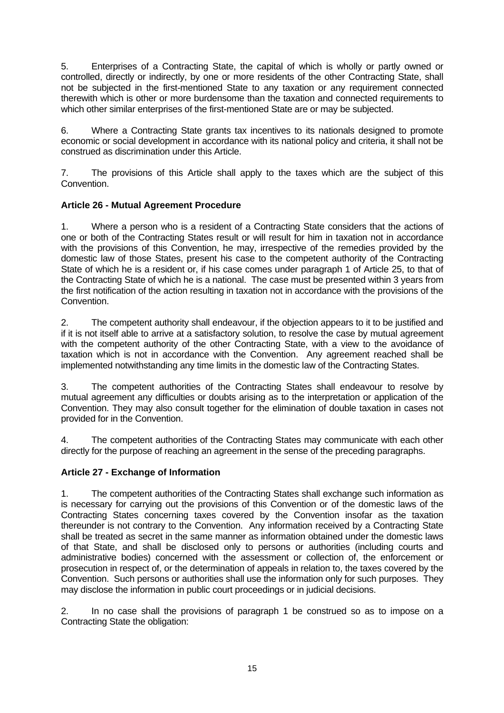5. Enterprises of a Contracting State, the capital of which is wholly or partly owned or controlled, directly or indirectly, by one or more residents of the other Contracting State, shall not be subjected in the first-mentioned State to any taxation or any requirement connected therewith which is other or more burdensome than the taxation and connected requirements to which other similar enterprises of the first-mentioned State are or may be subjected.

6. Where a Contracting State grants tax incentives to its nationals designed to promote economic or social development in accordance with its national policy and criteria, it shall not be construed as discrimination under this Article.

7. The provisions of this Article shall apply to the taxes which are the subject of this **Convention** 

# **Article 26 - Mutual Agreement Procedure**

1. Where a person who is a resident of a Contracting State considers that the actions of one or both of the Contracting States result or will result for him in taxation not in accordance with the provisions of this Convention, he may, irrespective of the remedies provided by the domestic law of those States, present his case to the competent authority of the Contracting State of which he is a resident or, if his case comes under paragraph 1 of Article 25, to that of the Contracting State of which he is a national. The case must be presented within 3 years from the first notification of the action resulting in taxation not in accordance with the provisions of the Convention.

2. The competent authority shall endeavour, if the objection appears to it to be justified and if it is not itself able to arrive at a satisfactory solution, to resolve the case by mutual agreement with the competent authority of the other Contracting State, with a view to the avoidance of taxation which is not in accordance with the Convention. Any agreement reached shall be implemented notwithstanding any time limits in the domestic law of the Contracting States.

3. The competent authorities of the Contracting States shall endeavour to resolve by mutual agreement any difficulties or doubts arising as to the interpretation or application of the Convention. They may also consult together for the elimination of double taxation in cases not provided for in the Convention.

4. The competent authorities of the Contracting States may communicate with each other directly for the purpose of reaching an agreement in the sense of the preceding paragraphs.

## **Article 27 - Exchange of Information**

1. The competent authorities of the Contracting States shall exchange such information as is necessary for carrying out the provisions of this Convention or of the domestic laws of the Contracting States concerning taxes covered by the Convention insofar as the taxation thereunder is not contrary to the Convention. Any information received by a Contracting State shall be treated as secret in the same manner as information obtained under the domestic laws of that State, and shall be disclosed only to persons or authorities (including courts and administrative bodies) concerned with the assessment or collection of, the enforcement or prosecution in respect of, or the determination of appeals in relation to, the taxes covered by the Convention. Such persons or authorities shall use the information only for such purposes. They may disclose the information in public court proceedings or in judicial decisions.

2. In no case shall the provisions of paragraph 1 be construed so as to impose on a Contracting State the obligation: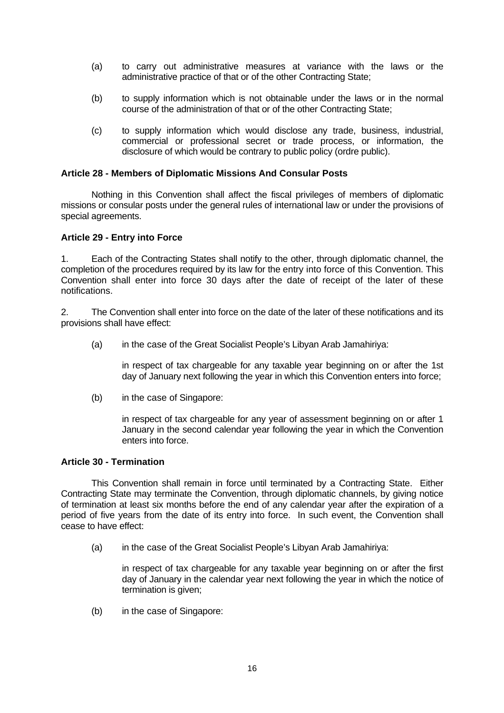- (a) to carry out administrative measures at variance with the laws or the administrative practice of that or of the other Contracting State;
- (b) to supply information which is not obtainable under the laws or in the normal course of the administration of that or of the other Contracting State;
- (c) to supply information which would disclose any trade, business, industrial, commercial or professional secret or trade process, or information, the disclosure of which would be contrary to public policy (ordre public).

#### **Article 28 - Members of Diplomatic Missions And Consular Posts**

 Nothing in this Convention shall affect the fiscal privileges of members of diplomatic missions or consular posts under the general rules of international law or under the provisions of special agreements.

#### **Article 29 - Entry into Force**

1. Each of the Contracting States shall notify to the other, through diplomatic channel, the completion of the procedures required by its law for the entry into force of this Convention. This Convention shall enter into force 30 days after the date of receipt of the later of these notifications.

2. The Convention shall enter into force on the date of the later of these notifications and its provisions shall have effect:

(a) in the case of the Great Socialist People's Libyan Arab Jamahiriya:

in respect of tax chargeable for any taxable year beginning on or after the 1st day of January next following the year in which this Convention enters into force;

(b) in the case of Singapore:

in respect of tax chargeable for any year of assessment beginning on or after 1 January in the second calendar year following the year in which the Convention enters into force.

### **Article 30 - Termination**

This Convention shall remain in force until terminated by a Contracting State. Either Contracting State may terminate the Convention, through diplomatic channels, by giving notice of termination at least six months before the end of any calendar year after the expiration of a period of five years from the date of its entry into force. In such event, the Convention shall cease to have effect:

(a) in the case of the Great Socialist People's Libyan Arab Jamahiriya:

in respect of tax chargeable for any taxable year beginning on or after the first day of January in the calendar year next following the year in which the notice of termination is given;

(b) in the case of Singapore: